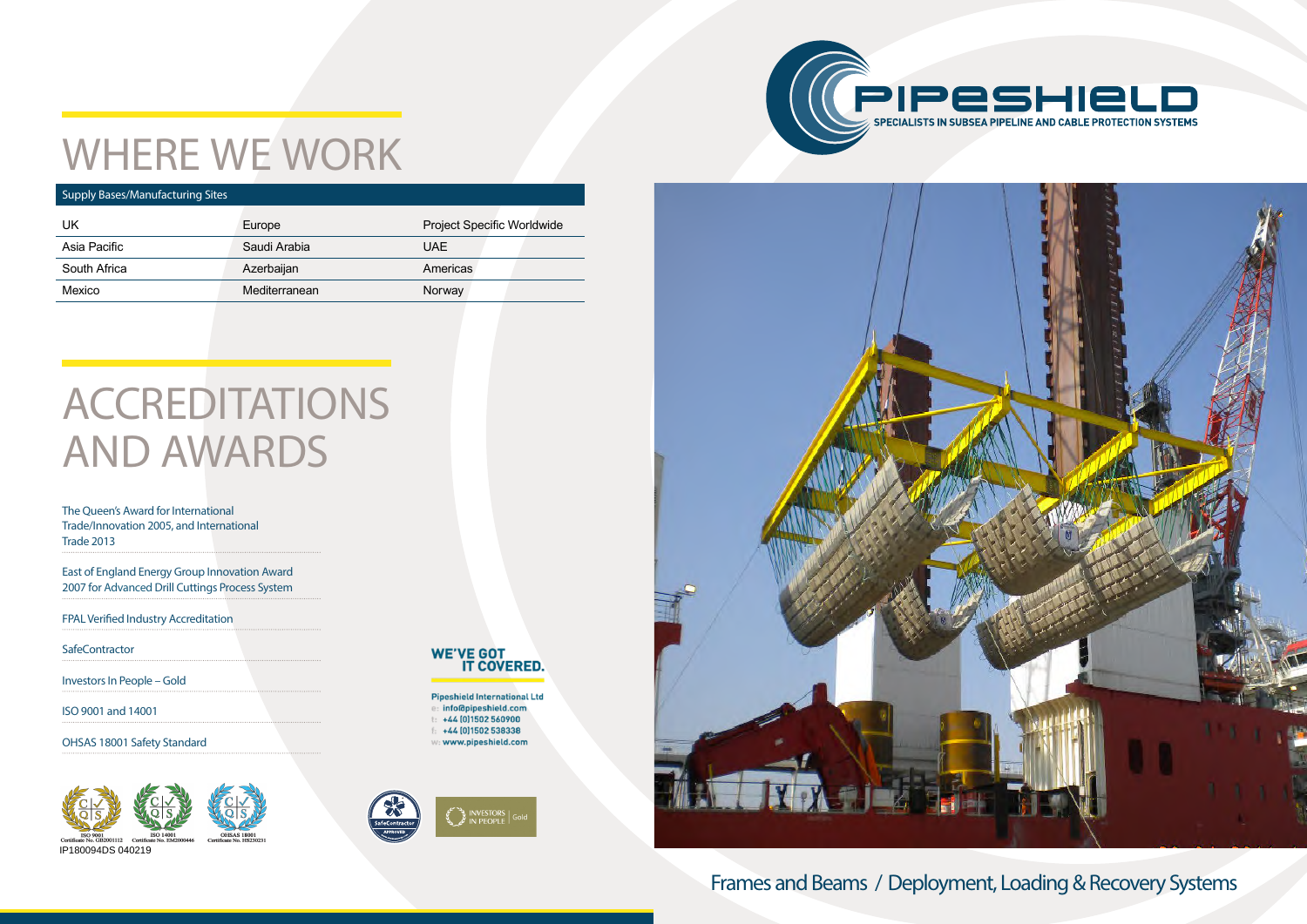

## WHERE WE WORK

## **ACCREDITATIONS** AND AWARDS

The Queen's Award for International Trade/Innovation 2005, and International Trade 2013

East of England Energy Group Innovation Award 2007 for Advanced Drill Cuttings Process System

FPAL Verified Industry Accreditation

**SafeContractor** 

### Frames and Beams / Deployment, Loading & Recovery Systems

Investors In People – Gold

ISO 9001 and 14001

OHSAS 18001 Safety Standard

#### Supply Bases/Manufacturing Sites

| UK           | Europe        | <b>Project Specific Worldwide</b> |  |  |
|--------------|---------------|-----------------------------------|--|--|
| Asia Pacific | Saudi Arabia  | UAE                               |  |  |
| South Africa | Azerbaijan    | <b>Americas</b>                   |  |  |
| Mexico       | Mediterranean | Norway                            |  |  |
|              |               |                                   |  |  |





**Pipeshield International Ltd** info@pipeshield.com +44 (0) 1502 560900 +44 (0) 1502 538338 : www.pipeshield.com